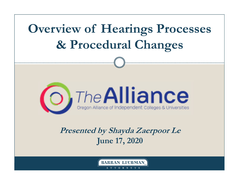



**Presented by Shayda Zaerpoor Le June 17, 2020**

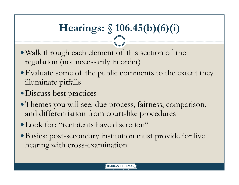# **Hearings: § 106.45(b)(6)(i)**

- Walk through each element of this section of the regulation (not necessarily in order)
- Evaluate some of the public comments to the extent they illuminate pitfalls
- Discuss best practices
- Themes you will see: due process, fairness, comparison, and differentiation from court-like procedures
- Look for: "recipients have discretion"
- Basics: post-secondary institution must provide for live hearing with cross-examination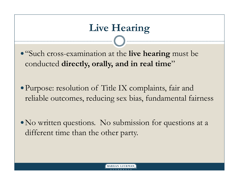# **Live Hearing**

"Such cross-examination at the **live hearing** must be conducted **directly, orally, and in real time**"

Purpose: resolution of Title IX complaints, fair and reliable outcomes, reducing sex bias, fundamental fairness

No written questions. No submission for questions at a different time than the other party.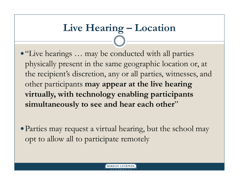# **Live Hearing – Location**

"Live hearings … may be conducted with all parties physically present in the same geographic location or, at the recipient's discretion, any or all parties, witnesses, and other participants **may appear at the live hearing virtually, with technology enabling participants**  simultaneously to see and hear each other"

Parties may request a virtual hearing, but the school may opt to allow all to participate remotely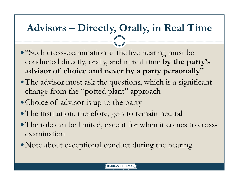## **Advisors – Directly, Orally, in Real Time**

- "Such cross-examination at the live hearing must be conducted directly, orally, and in real time **by the party's advisor of choice and never by a party personally** "
- The advisor must ask the questions, which is a significant change from the "potted plant" approach
- Choice of advisor is up to the party
- The institution, therefore, gets to remain neutral
- The role can be limited, except for when it comes to crossexamination
- Note about exceptional conduct during the hearing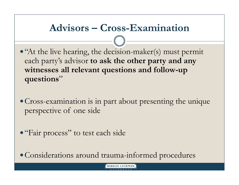## **Advisors – Cross-Examination**

- "At the live hearing, the decision-maker(s) must permit each party's advisor **to ask the other party and any witnesses all relevant questions and follow-up questions** "
- Cross-examination is in part about presenting the unique perspective of one side
- "Fair process" to test each side

Considerations around trauma-informed procedures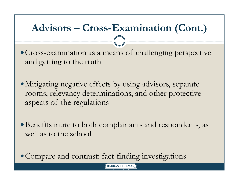## **Advisors – Cross-Examination (Cont.)**

Cross-examination as a means of challenging perspective and getting to the truth

Mitigating negative effects by using advisors, separate rooms, relevancy determinations, and other protective aspects of the regulations

Benefits inure to both complainants and respondents, as well as to the school

Compare and contrast: fact-finding investigations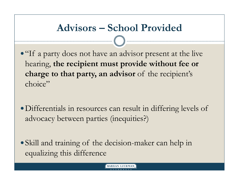## **Advisors – School Provided**

• "If a party does not have an advisor present at the live" hearing, **the recipient must provide without fee or**  charge to that party, an advisor of the recipient's choice"

Differentials in resources can result in differing levels of advocacy between parties (inequities?)

Skill and training of the decision-maker can help in equalizing this difference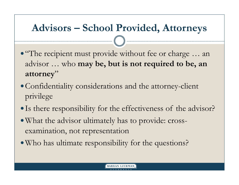## **Advisors – School Provided, Attorneys**

- "The recipient must provide without fee or charge ... an advisor … who **may be, but is not required to be, an attorney**"
- Confidentiality considerations and the attorney-client privilege
- Is there responsibility for the effectiveness of the advisor?
- What the advisor ultimately has to provide: crossexamination, not representation
- Who has ultimate responsibility for the questions?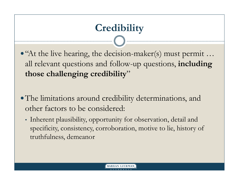# **Credibility**

- "At the live hearing, the decision-maker(s) must permit … all relevant questions and follow-up questions, **including those challenging credibility**"
- The limitations around credibility determinations, and other factors to be considered:
	- Inherent plausibility, opportunity for observation, detail and specificity, consistency, corroboration, motive to lie, history of truthfulness, demeanor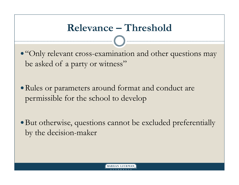## **Relevance – Threshold**

• "Only relevant cross-examination and other questions may be asked of a party or witness"

Rules or parameters around format and conduct are permissible for the school to develop

But otherwise, questions cannot be excluded preferentially by the decision-maker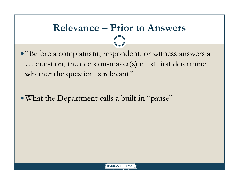## **Relevance – Prior to Answers**

"Before a complainant, respondent, or witness answers a … question, the decision-maker(s) must first determine whether the question is relevant"

What the Department calls a built-in "pause"

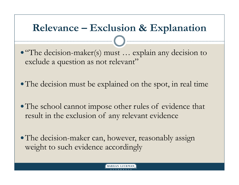## **Relevance – Exclusion & Explanation**

"The decision-maker(s) must … explain any decision to exclude a question as not relevant"

• The decision must be explained on the spot, in real time

- The school cannot impose other rules of evidence that result in the exclusion of any relevant evidence
- The decision-maker can, however, reasonably assign weight to such evidence accordingly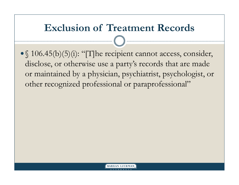## **Exclusion of Treatment Records**

• § 106.45(b)(5)(i): "[T]he recipient cannot access, consider, disclose, or otherwise use a party's records that are made or maintained by a physician, psychiatrist, psychologist, or other recognized professional or paraprofessional"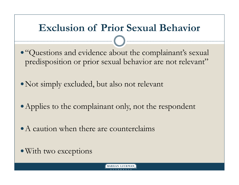## **Exclusion of Prior Sexual Behavior**

"Questions and evidence about the complainant's sexual predisposition or prior sexual behavior are not relevant"

Not simply excluded, but also not relevant

• Applies to the complainant only, not the respondent

- A caution when there are counterclaims
- With two exceptions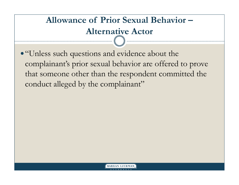### **Allowance of Prior Sexual Behavior –Alternative Actor**

"Unless such questions and evidence about the complainant's prior sexual behavior are offered to prove that someone other than the respondent committed the conduct alleged by the complainant"

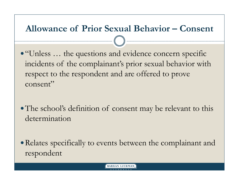### **Allowance of Prior Sexual Behavior – Consent**

"Unless … the questions and evidence concern specific incidents of the complainant's prior sexual behavior with respect to the respondent and are offered to prove consent"

The school's definition of consent may be relevant to this determination

Relates specifically to events between the complainant and respondent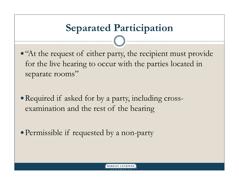## **Separated Participation**

• "At the request of either party, the recipient must provide for the live hearing to occur with the parties located in separate rooms"

• Required if asked for by a party, including crossexamination and the rest of the hearing

Permissible if requested by a non-party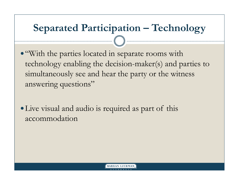## **Separated Participation – Technology**

"With the parties located in separate rooms with technology enabling the decision-maker(s) and parties to simultaneously see and hear the party or the witness answering questions"

Live visual and audio is required as part of this accommodation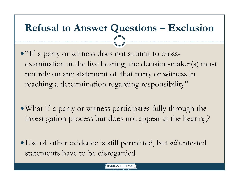## **Refusal to Answer Questions – Exclusion**

"If a party or witness does not submit to crossexamination at the live hearing, the decision-maker(s) must not rely on any statement of that party or witness in reaching a determination regarding responsibility"

What if a party or witness participates fully through the investigation process but does not appear at the hearing?

Use of other evidence is still permitted, but *all* untested statements have to be disregarded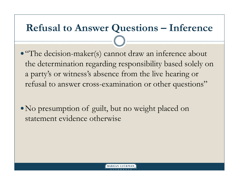## **Refusal to Answer Questions – Inference**

"The decision-maker(s) cannot draw an inference about the determination regarding responsibility based solely on a party's or witness's absence from the live hearing or refusal to answer cross-examination or other questions"

No presumption of guilt, but no weight placed on statement evidence otherwise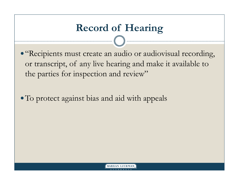# **Record of Hearing**

"Recipients must create an audio or audiovisual recording, or transcript, of any live hearing and make it available to the parties for inspection and review"

To protect against bias and aid with appeals

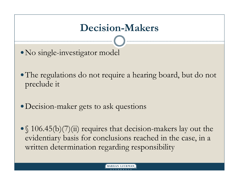## **Decision-Makers**

- No single-investigator model
- The regulations do not require a hearing board, but do not preclude it
- Decision-maker gets to ask questions
- § 106.45(b)(7)(ii) requires that decision-makers lay out the evidentiary basis for conclusions reached in the case, in a written determination regarding responsibility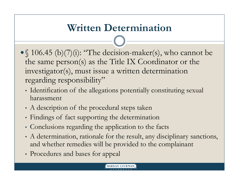## **Written Determination**

- § 106.45 (b)(7)(i): "The decision-maker(s), who cannot be the same person(s) as the Title IX Coordinator or the investigator(s), must issue a written determination regarding responsibility"
	- Identification of the allegations potentially constituting sexual harassment
	- A description of the procedural steps taken
	- Findings of fact supporting the determination
	- Conclusions regarding the application to the facts
	- A determination, rationale for the result, any disciplinary sanctions, and whether remedies will be provided to the complainant
	- Procedures and bases for appeal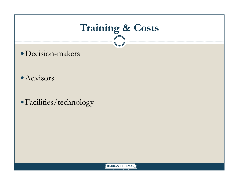# **Training & Costs**

- Decision-makers
- Advisors
- Facilities/technology

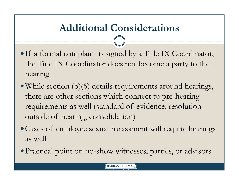## **Additional Considerations**

- If a formal complaint is signed by a Title IX Coordinator, the Title IX Coordinator does not become a party to the hearing
- While section (b)(6) details requirements around hearings, there are other sections which connect to pre-hearing requirements as well (standard of evidence, resolution outside of hearing, consolidation)
- Cases of employee sexual harassment will require hearings as well
- Practical point on no-show witnesses, parties, or advisors